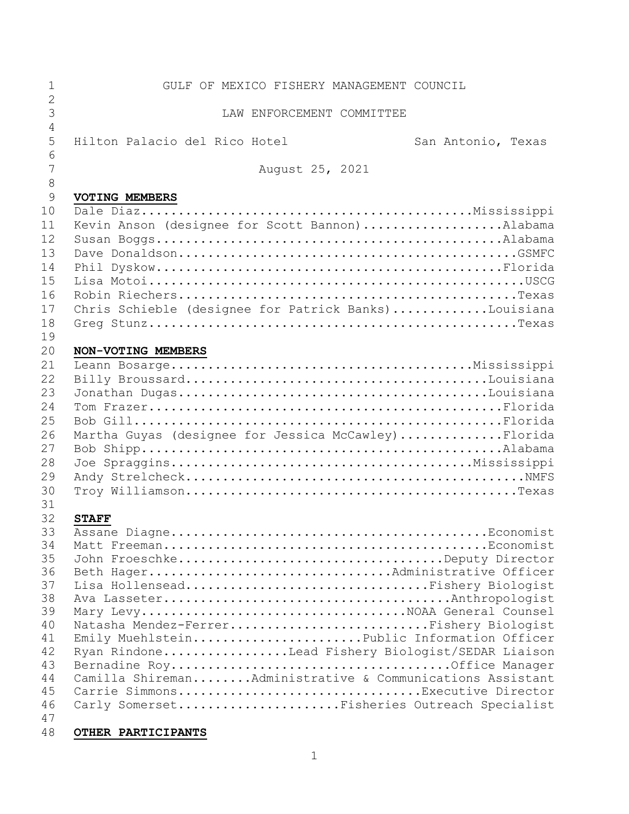| 1              | GULF OF MEXICO FISHERY MANAGEMENT COUNCIL                 |
|----------------|-----------------------------------------------------------|
| $\overline{2}$ |                                                           |
| 3              | LAW ENFORCEMENT COMMITTEE                                 |
| $\overline{4}$ |                                                           |
| 5<br>6         | Hilton Palacio del Rico Hotel<br>San Antonio, Texas       |
| 7              |                                                           |
| 8              | August 25, 2021                                           |
| 9              | <b>VOTING MEMBERS</b>                                     |
| 10             |                                                           |
| 11             | Kevin Anson (designee for Scott Bannon)Alabama            |
| 12             |                                                           |
| 13             |                                                           |
| 14             |                                                           |
| 15             |                                                           |
| 16             |                                                           |
| 17             | Chris Schieble (designee for Patrick Banks)Louisiana      |
| 18             |                                                           |
| 19             |                                                           |
| 20             | NON-VOTING MEMBERS                                        |
| 21             |                                                           |
| 22             |                                                           |
| 23             |                                                           |
| 24             |                                                           |
| 25             |                                                           |
| 26<br>27       | Martha Guyas (designee for Jessica McCawley)Florida       |
| 28             |                                                           |
| 29             |                                                           |
| 30             |                                                           |
| 31             |                                                           |
| 32             | <b>STAFF</b>                                              |
| 33             |                                                           |
| 34             |                                                           |
| 35             | John FroeschkeDeputy Director                             |
| 36             | Beth HagerAdministrative Officer                          |
| 37             | Lisa HollenseadFishery Biologist                          |
| 38             |                                                           |
| 39<br>40       | Natasha Mendez-FerrerFishery Biologist                    |
| 41             | Emily MuehlsteinPublic Information Officer                |
| 42             | Ryan RindoneLead Fishery Biologist/SEDAR Liaison          |
| 43             |                                                           |
| 44             | Camilla ShiremanAdministrative & Communications Assistant |
| 45             | Carrie SimmonsExecutive Director                          |
| 46             | Carly SomersetFisheries Outreach Specialist               |
| 47             |                                                           |
| 48             | OTHER PARTICIPANTS                                        |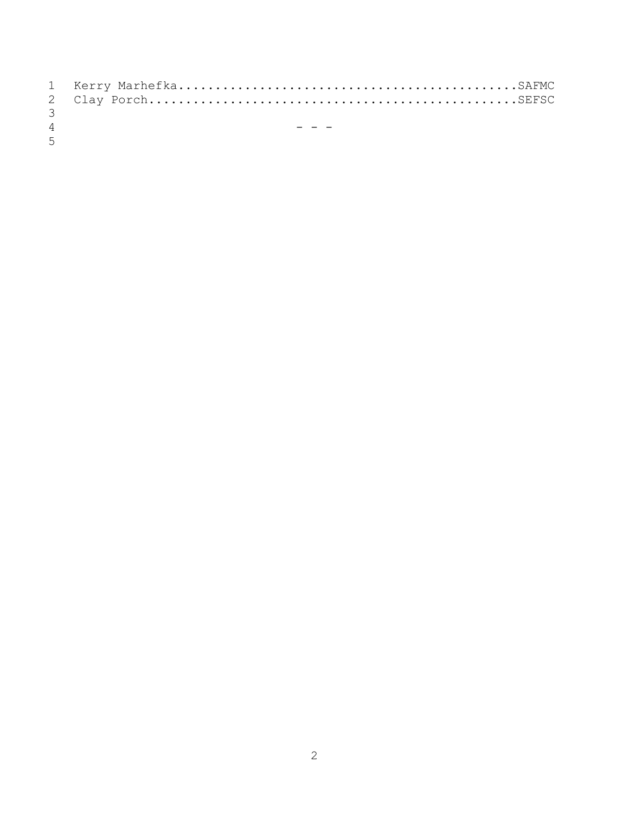| $\mathcal{B}$  |  |
|----------------|--|
| $\overline{4}$ |  |
| $5 -$          |  |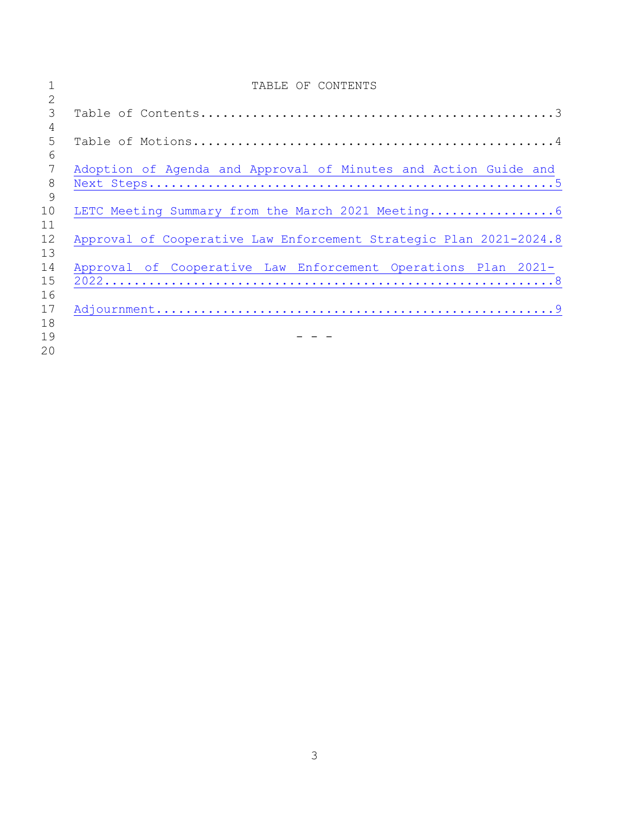| 1  | TABLE OF CONTENTS                                                  |
|----|--------------------------------------------------------------------|
| 2  |                                                                    |
| 3  |                                                                    |
| 4  |                                                                    |
| 5  |                                                                    |
| 6  |                                                                    |
| 7  | Adoption of Agenda and Approval of Minutes and Action Guide and    |
| 8  |                                                                    |
| 9  |                                                                    |
| 10 |                                                                    |
| 11 |                                                                    |
| 12 | Approval of Cooperative Law Enforcement Strategic Plan 2021-2024.8 |
| 13 |                                                                    |
| 14 | Approval of Cooperative Law Enforcement Operations Plan 2021-      |
| 15 |                                                                    |
| 16 |                                                                    |
| 17 |                                                                    |
| 18 |                                                                    |
| 19 |                                                                    |
| 20 |                                                                    |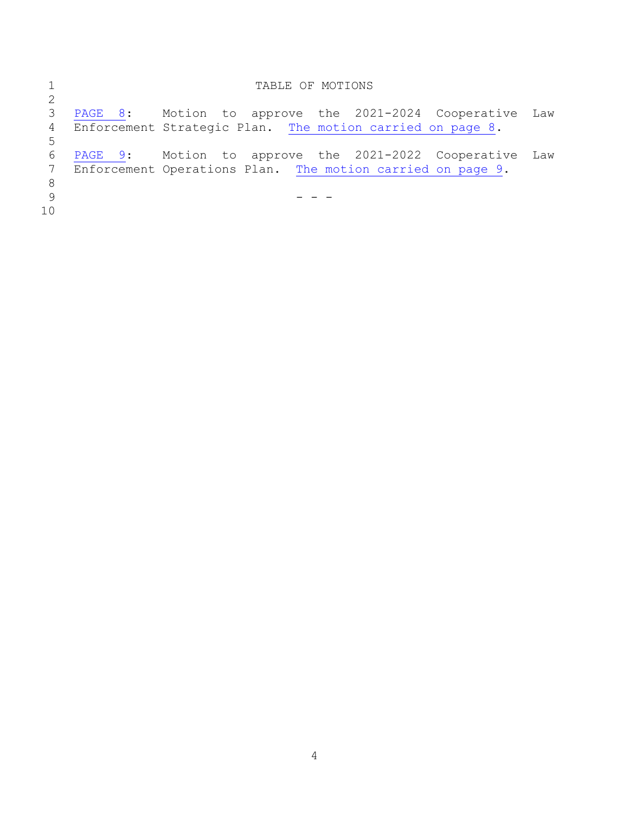|                | TABLE OF MOTIONS                                           |     |
|----------------|------------------------------------------------------------|-----|
| 2              |                                                            |     |
| 3              | Motion to approve the 2021-2024 Cooperative<br>PAGE 8:     | Law |
| $\overline{4}$ | Enforcement Strategic Plan. The motion carried on page 8.  |     |
| 5              |                                                            |     |
| 6              | Motion to approve the 2021-2022 Cooperative<br>PAGE 9:     | Law |
| 7              | Enforcement Operations Plan. The motion carried on page 9. |     |
| 8              |                                                            |     |
| 9              |                                                            |     |
| 10             |                                                            |     |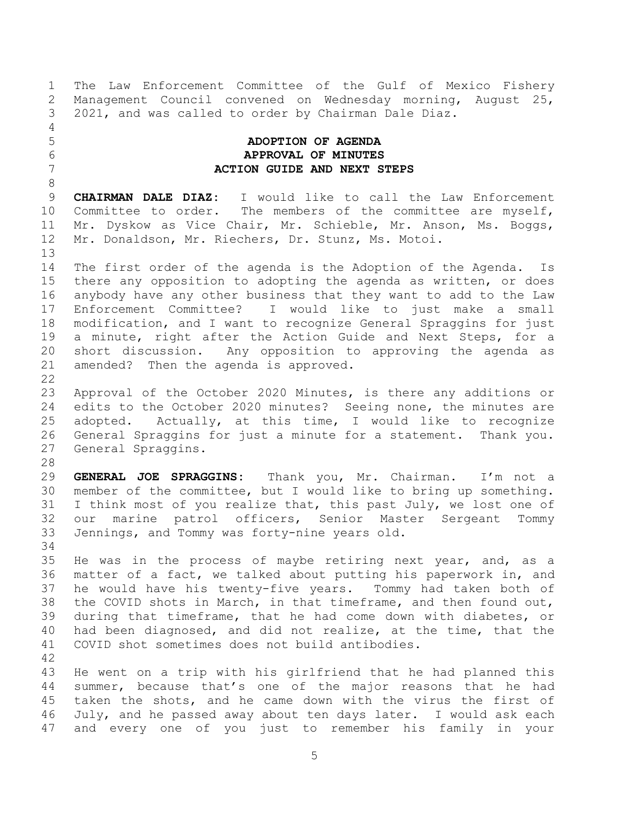The Law Enforcement Committee of the Gulf of Mexico Fishery Management Council convened on Wednesday morning, August 25, 2021, and was called to order by Chairman Dale Diaz.

## <span id="page-4-0"></span> **ADOPTION OF AGENDA APPROVAL OF MINUTES ACTION GUIDE AND NEXT STEPS**

 **CHAIRMAN DALE DIAZ:** I would like to call the Law Enforcement Committee to order. The members of the committee are myself, Mr. Dyskow as Vice Chair, Mr. Schieble, Mr. Anson, Ms. Boggs, Mr. Donaldson, Mr. Riechers, Dr. Stunz, Ms. Motoi.

 The first order of the agenda is the Adoption of the Agenda. Is there any opposition to adopting the agenda as written, or does anybody have any other business that they want to add to the Law Enforcement Committee? I would like to just make a small modification, and I want to recognize General Spraggins for just a minute, right after the Action Guide and Next Steps, for a short discussion. Any opposition to approving the agenda as amended? Then the agenda is approved. 

 Approval of the October 2020 Minutes, is there any additions or edits to the October 2020 minutes? Seeing none, the minutes are adopted. Actually, at this time, I would like to recognize General Spraggins for just a minute for a statement. Thank you. General Spraggins.

 **GENERAL JOE SPRAGGINS:** Thank you, Mr. Chairman. I'm not a member of the committee, but I would like to bring up something. 31 I think most of you realize that, this past July, we lost one of our marine patrol officers, Senior Master Sergeant Tommy Jennings, and Tommy was forty-nine years old.

 He was in the process of maybe retiring next year, and, as a matter of a fact, we talked about putting his paperwork in, and he would have his twenty-five years. Tommy had taken both of the COVID shots in March, in that timeframe, and then found out, during that timeframe, that he had come down with diabetes, or had been diagnosed, and did not realize, at the time, that the COVID shot sometimes does not build antibodies.

 He went on a trip with his girlfriend that he had planned this summer, because that's one of the major reasons that he had taken the shots, and he came down with the virus the first of July, and he passed away about ten days later. I would ask each and every one of you just to remember his family in your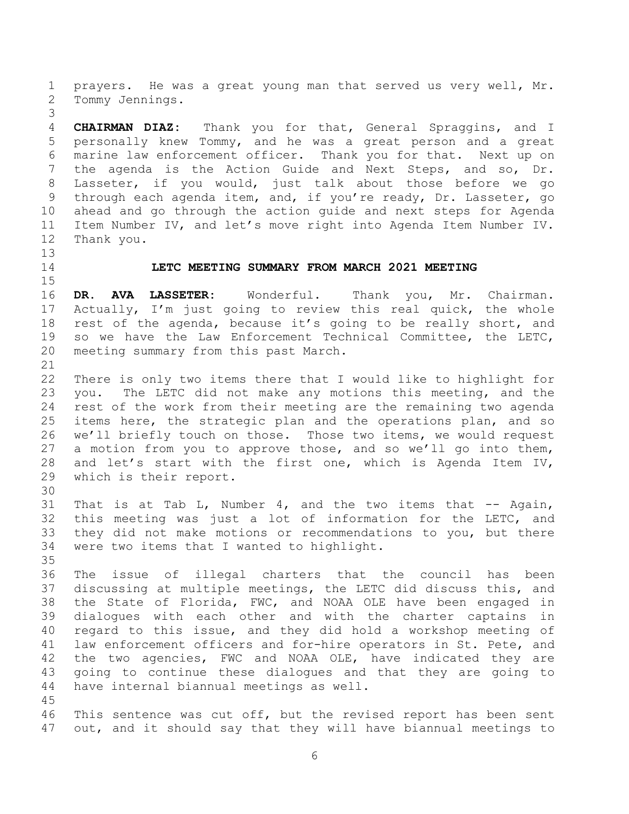prayers. He was a great young man that served us very well, Mr. Tommy Jennings.

 **CHAIRMAN DIAZ:** Thank you for that, General Spraggins, and I personally knew Tommy, and he was a great person and a great marine law enforcement officer. Thank you for that. Next up on the agenda is the Action Guide and Next Steps, and so, Dr. Lasseter, if you would, just talk about those before we go through each agenda item, and, if you're ready, Dr. Lasseter, go ahead and go through the action guide and next steps for Agenda Item Number IV, and let's move right into Agenda Item Number IV. Thank you.

## <span id="page-5-0"></span>**LETC MEETING SUMMARY FROM MARCH 2021 MEETING**

 **DR. AVA LASSETER:** Wonderful. Thank you, Mr. Chairman. Actually, I'm just going to review this real quick, the whole rest of the agenda, because it's going to be really short, and so we have the Law Enforcement Technical Committee, the LETC, meeting summary from this past March.

 There is only two items there that I would like to highlight for you. The LETC did not make any motions this meeting, and the rest of the work from their meeting are the remaining two agenda items here, the strategic plan and the operations plan, and so we'll briefly touch on those. Those two items, we would request a motion from you to approve those, and so we'll go into them, and let's start with the first one, which is Agenda Item IV, which is their report.

31 That is at Tab L, Number 4, and the two items that -- Again, this meeting was just a lot of information for the LETC, and they did not make motions or recommendations to you, but there were two items that I wanted to highlight.

 The issue of illegal charters that the council has been discussing at multiple meetings, the LETC did discuss this, and the State of Florida, FWC, and NOAA OLE have been engaged in dialogues with each other and with the charter captains in regard to this issue, and they did hold a workshop meeting of law enforcement officers and for-hire operators in St. Pete, and the two agencies, FWC and NOAA OLE, have indicated they are going to continue these dialogues and that they are going to have internal biannual meetings as well. 

 This sentence was cut off, but the revised report has been sent out, and it should say that they will have biannual meetings to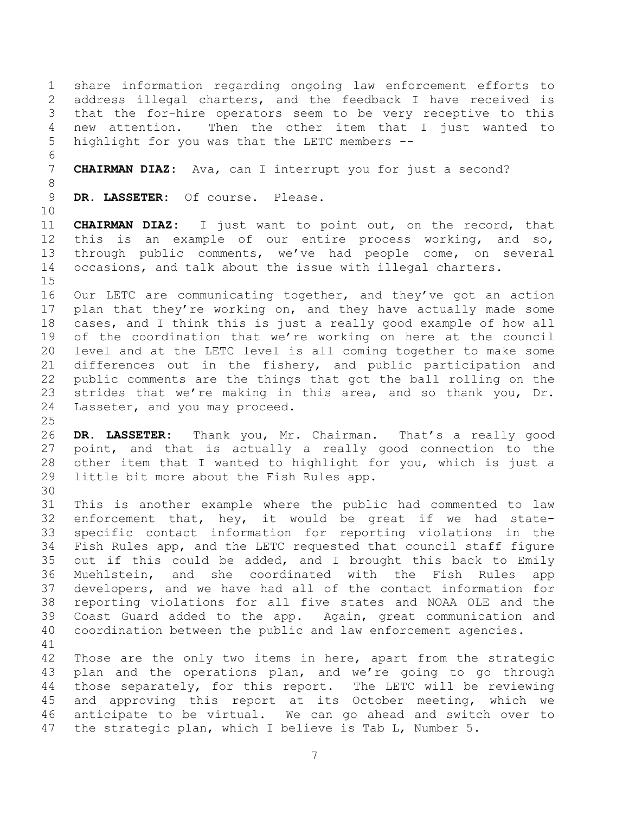share information regarding ongoing law enforcement efforts to address illegal charters, and the feedback I have received is that the for-hire operators seem to be very receptive to this new attention. Then the other item that I just wanted to highlight for you was that the LETC members --

**CHAIRMAN DIAZ:** Ava, can I interrupt you for just a second?

**DR. LASSETER:** Of course. Please.

 **CHAIRMAN DIAZ:** I just want to point out, on the record, that this is an example of our entire process working, and so, through public comments, we've had people come, on several occasions, and talk about the issue with illegal charters. 

 Our LETC are communicating together, and they've got an action plan that they're working on, and they have actually made some cases, and I think this is just a really good example of how all of the coordination that we're working on here at the council level and at the LETC level is all coming together to make some differences out in the fishery, and public participation and public comments are the things that got the ball rolling on the strides that we're making in this area, and so thank you, Dr. Lasseter, and you may proceed.

 **DR. LASSETER:** Thank you, Mr. Chairman. That's a really good point, and that is actually a really good connection to the other item that I wanted to highlight for you, which is just a little bit more about the Fish Rules app.

 This is another example where the public had commented to law enforcement that, hey, it would be great if we had state- specific contact information for reporting violations in the Fish Rules app, and the LETC requested that council staff figure out if this could be added, and I brought this back to Emily Muehlstein, and she coordinated with the Fish Rules app developers, and we have had all of the contact information for reporting violations for all five states and NOAA OLE and the Coast Guard added to the app. Again, great communication and coordination between the public and law enforcement agencies. 

 Those are the only two items in here, apart from the strategic 43 plan and the operations plan, and we're going to go through those separately, for this report. The LETC will be reviewing and approving this report at its October meeting, which we anticipate to be virtual. We can go ahead and switch over to the strategic plan, which I believe is Tab L, Number 5.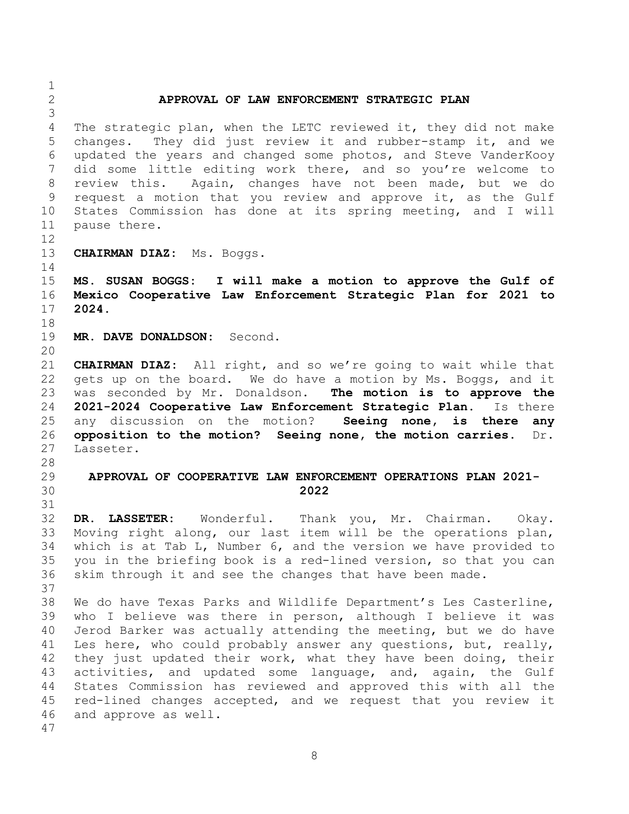<span id="page-7-3"></span><span id="page-7-2"></span><span id="page-7-1"></span><span id="page-7-0"></span> **APPROVAL OF LAW ENFORCEMENT STRATEGIC PLAN** The strategic plan, when the LETC reviewed it, they did not make changes. They did just review it and rubber-stamp it, and we updated the years and changed some photos, and Steve VanderKooy did some little editing work there, and so you're welcome to review this. Again, changes have not been made, but we do request a motion that you review and approve it, as the Gulf States Commission has done at its spring meeting, and I will pause there. **CHAIRMAN DIAZ:** Ms. Boggs. **MS. SUSAN BOGGS: I will make a motion to approve the Gulf of Mexico Cooperative Law Enforcement Strategic Plan for 2021 to 2024. MR. DAVE DONALDSON:** Second. **CHAIRMAN DIAZ:** All right, and so we're going to wait while that gets up on the board. We do have a motion by Ms. Boggs, and it was seconded by Mr. Donaldson. **The motion is to approve the 2021-2024 Cooperative Law Enforcement Strategic Plan.** Is there any discussion on the motion? **Seeing none, is there any opposition to the motion? Seeing none, the motion carries.** Dr. Lasseter. **APPROVAL OF COOPERATIVE LAW ENFORCEMENT OPERATIONS PLAN 2021- 2022 DR. LASSETER:** Wonderful. Thank you, Mr. Chairman. Okay. Moving right along, our last item will be the operations plan, which is at Tab L, Number 6, and the version we have provided to you in the briefing book is a red-lined version, so that you can skim through it and see the changes that have been made. We do have Texas Parks and Wildlife Department's Les Casterline, who I believe was there in person, although I believe it was Jerod Barker was actually attending the meeting, but we do have Les here, who could probably answer any questions, but, really, they just updated their work, what they have been doing, their 43 activities, and updated some language, and, again, the Gulf States Commission has reviewed and approved this with all the red-lined changes accepted, and we request that you review it and approve as well.